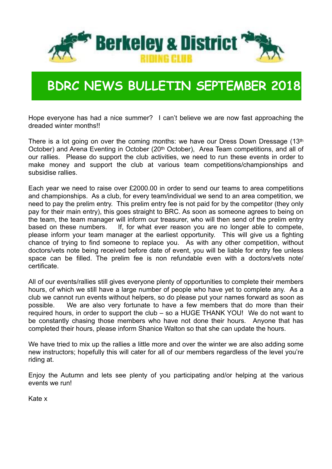

#### **BDRC NEWS BULLETIN SEPTEMBER 2018**

Hope everyone has had a nice summer? I can't believe we are now fast approaching the dreaded winter months!!

There is a lot going on over the coming months: we have our Dress Down Dressage (13th October) and Arena Eventing in October (20<sup>th</sup> October), Area Team competitions, and all of our rallies. Please do support the club activities, we need to run these events in order to make money and support the club at various team competitions/championships and subsidise rallies.

Each year we need to raise over £2000.00 in order to send our teams to area competitions and championships. As a club, for every team/individual we send to an area competition, we need to pay the prelim entry. This prelim entry fee is not paid for by the competitor (they only pay for their main entry), this goes straight to BRC. As soon as someone agrees to being on the team, the team manager will inform our treasurer, who will then send of the prelim entry based on these numbers. If, for what ever reason you are no longer able to compete, please inform your team manager at the earliest opportunity. This will give us a fighting chance of trying to find someone to replace you. As with any other competition, without doctors/vets note being received before date of event, you will be liable for entry fee unless space can be filled. The prelim fee is non refundable even with a doctors/vets note/ certificate.

All of our events/rallies still gives everyone plenty of opportunities to complete their members hours, of which we still have a large number of people who have yet to complete any. As a club we cannot run events without helpers, so do please put your names forward as soon as possible. We are also very fortunate to have a few members that do more than their required hours, in order to support the club – so a HUGE THANK YOU! We do not want to be constantly chasing those members who have not done their hours. Anyone that has completed their hours, please inform Shanice Walton so that she can update the hours.

We have tried to mix up the rallies a little more and over the winter we are also adding some new instructors; hopefully this will cater for all of our members regardless of the level you're riding at.

Enjoy the Autumn and lets see plenty of you participating and/or helping at the various events we run!

Kate x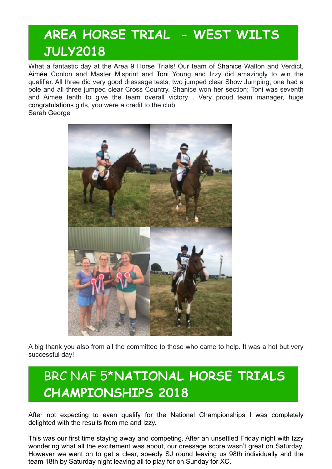#### **AREA HORSE TRIAL - WEST WILTS JULY2018**

What a fantastic day at the Area 9 Horse Trials! Our team of [Shanice](https://www.facebook.com/shanice.walton.98?fref=gs&dti=435471163189378&hc_location=group) Walton and Verdict, [Aimée](https://www.facebook.com/aimeelouiseconlon?fref=gs&dti=435471163189378&hc_location=group) Conlon and Master Misprint and [Toni](https://www.facebook.com/toni.e.young.9?fref=gs&dti=435471163189378&hc_location=group) Young and Izzy did amazingly to win the qualifier. All three did very good dressage tests; two jumped clear Show Jumping; one had a pole and all three jumped clear Cross Country. Shanice won her section; Toni was seventh and Aimee tenth to give the team overall victory . Very proud team manager, huge congratulations girls, you were a credit to the club. Sarah George



A big thank you also from all the committee to those who came to help. It was a hot but very successful day!

#### BRC NAF 5\***NATIONAL HORSE TRIALS CHAMPIONSHIPS 2018**

After not expecting to even qualify for the National Championships I was completely delighted with the results from me and Izzy.

This was our first time staying away and competing. After an unsettled Friday night with Izzy wondering what all the excitement was about, our dressage score wasn't great on Saturday. However we went on to get a clear, speedy SJ round leaving us 98th individually and the team 18th by Saturday night leaving all to play for on Sunday for XC.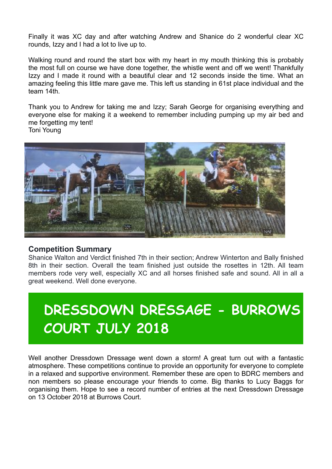Finally it was XC day and after watching Andrew and Shanice do 2 wonderful clear XC rounds, Izzy and I had a lot to live up to.

Walking round and round the start box with my heart in my mouth thinking this is probably the most full on course we have done together, the whistle went and off we went! Thankfully Izzy and I made it round with a beautiful clear and 12 seconds inside the time. What an amazing feeling this little mare gave me. This left us standing in 61st place individual and the team 14th.

Thank you to Andrew for taking me and Izzy; Sarah George for organising everything and everyone else for making it a weekend to remember including pumping up my air bed and me forgetting my tent! Toni Young

**Lettering** 

#### **Competition Summary**

Shanice Walton and Verdict finished 7th in their section; Andrew Winterton and Bally finished 8th in their section. Overall the team finished just outside the rosettes in 12th. All team members rode very well, especially XC and all horses finished safe and sound. All in all a great weekend. Well done everyone.

## **DRESSDOWN DRESSAGE - BURROWS COURT JULY 2018**

Well another Dressdown Dressage went down a storm! A great turn out with a fantastic atmosphere. These competitions continue to provide an opportunity for everyone to complete in a relaxed and supportive environment. Remember these are open to BDRC members and non members so please encourage your friends to come. Big thanks to Lucy Baggs for organising them. Hope to see a record number of entries at the next Dressdown Dressage on 13 October 2018 at Burrows Court.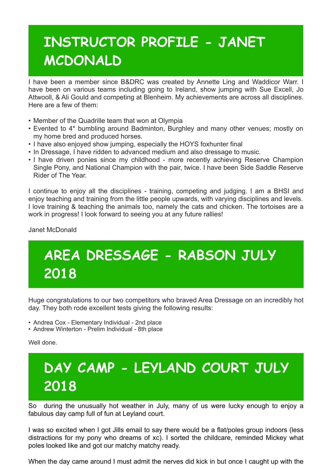## **INSTRUCTOR PROFILE - JANET MCDONALD**

I have been a member since B&DRC was created by Annette Ling and Waddicor Warr. I have been on various teams including going to Ireland, show jumping with Sue Excell, Jo Attwooll, & Ali Gould and competing at Blenheim. My achievements are across all disciplines. Here are a few of them:

- Member of the Quadrille team that won at Olympia
- Evented to 4\* bumbling around Badminton, Burghley and many other venues; mostly on my home bred and produced horses.
- I have also enjoyed show jumping, especially the HOYS foxhunter final
- In Dressage, I have ridden to advanced medium and also dressage to music.
- I have driven ponies since my childhood more recently achieving Reserve Champion Single Pony, and National Champion with the pair, twice. I have been Side Saddle Reserve Rider of The Year.

I continue to enjoy all the disciplines - training, competing and judging. I am a BHSI and enjoy teaching and training from the little people upwards, with varying disciplines and levels. I love training & teaching the animals too, namely the cats and chicken. The tortoises are a work in progress! I look forward to seeing you at any future rallies!

Janet McDonald

# **AREA DRESSAGE - RABSON JULY 2018**

Huge congratulations to our two competitors who braved Area Dressage on an incredibly hot day. They both rode excellent tests giving the following results:

- Andrea Cox Elementary Individual 2nd place
- Andrew Winterton Prelim Individual 8th place

Well done.

## **DAY CAMP - LEYLAND COURT JULY 2018**

So during the unusually hot weather in July, many of us were lucky enough to enjoy a fabulous day camp full of fun at Leyland court.

I was so excited when I got Jills email to say there would be a flat/poles group indoors (less distractions for my pony who dreams of xc). I sorted the childcare, reminded Mickey what poles looked like and got our matchy matchy ready.

When the day came around I must admit the nerves did kick in but once I caught up with the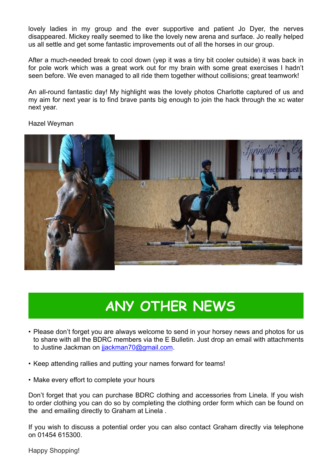lovely ladies in my group and the ever supportive and patient Jo Dyer, the nerves disappeared. Mickey really seemed to like the lovely new arena and surface. Jo really helped us all settle and get some fantastic improvements out of all the horses in our group.

After a much-needed break to cool down (yep it was a tiny bit cooler outside) it was back in for pole work which was a great work out for my brain with some great exercises I hadn't seen before. We even managed to all ride them together without collisions; great teamwork!

An all-round fantastic day! My highlight was the lovely photos Charlotte captured of us and my aim for next year is to find brave pants big enough to join the hack through the xc water next year.

Hazel Weyman



### **ANY OTHER NEWS**

- Please don't forget you are always welcome to send in your horsey news and photos for us to share with all the BDRC members via the E Bulletin. Just drop an email with attachments to Justine Jackman on [jjackman70@gmail.com](mailto:jjackman70@gmail.com).
- Keep attending rallies and putting your names forward for teams!
- Make every effort to complete your hours

Don't forget that you can purchase BDRC clothing and accessories from Linela. If you wish to order clothing you can do so by completing the clothing order form which can be found on the and emailing directly to Graham at Linela .

If you wish to discuss a potential order you can also contact Graham directly via telephone on 01454 615300.

Happy Shopping!